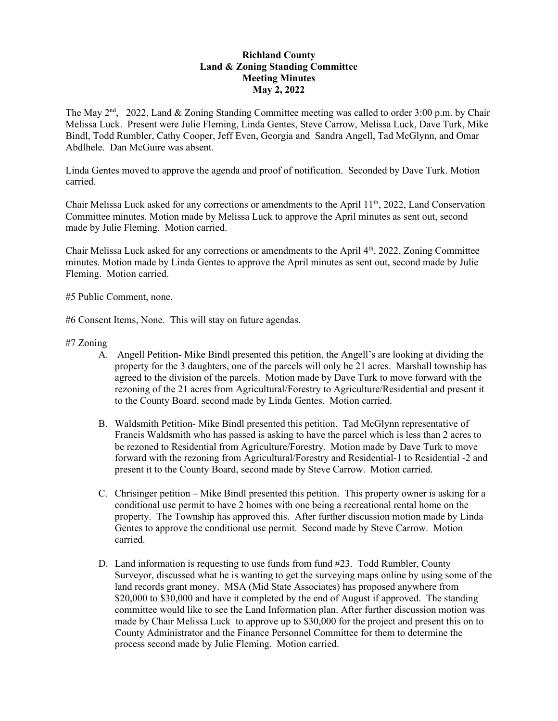# **Richland County Land & Zoning Standing Committee Meeting Minutes May 2, 2022**

The May  $2<sup>nd</sup>$ , 2022, Land & Zoning Standing Committee meeting was called to order 3:00 p.m. by Chair Melissa Luck. Present were Julie Fleming, Linda Gentes, Steve Carrow, Melissa Luck, Dave Turk, Mike Bindl, Todd Rumbler, Cathy Cooper, Jeff Even, Georgia and Sandra Angell, Tad McGlynn, and Omar Abdlhele. Dan McGuire was absent.

Linda Gentes moved to approve the agenda and proof of notification. Seconded by Dave Turk. Motion carried.

Chair Melissa Luck asked for any corrections or amendments to the April 11<sup>th</sup>, 2022, Land Conservation Committee minutes. Motion made by Melissa Luck to approve the April minutes as sent out, second made by Julie Fleming. Motion carried.

Chair Melissa Luck asked for any corrections or amendments to the April 4<sup>th</sup>, 2022, Zoning Committee minutes. Motion made by Linda Gentes to approve the April minutes as sent out, second made by Julie Fleming. Motion carried.

#5 Public Comment, none.

#6 Consent Items, None. This will stay on future agendas.

### #7 Zoning

- A. Angell Petition- Mike Bindl presented this petition, the Angell's are looking at dividing the property for the 3 daughters, one of the parcels will only be 21 acres. Marshall township has agreed to the division of the parcels. Motion made by Dave Turk to move forward with the rezoning of the 21 acres from Agricultural/Forestry to Agriculture/Residential and present it to the County Board, second made by Linda Gentes. Motion carried.
- B. Waldsmith Petition- Mike Bindl presented this petition. Tad McGlynn representative of Francis Waldsmith who has passed is asking to have the parcel which is less than 2 acres to be rezoned to Residential from Agriculture/Forestry. Motion made by Dave Turk to move forward with the rezoning from Agricultural/Forestry and Residential-1 to Residential -2 and present it to the County Board, second made by Steve Carrow. Motion carried.
- C. Chrisinger petition Mike Bindl presented this petition. This property owner is asking for a conditional use permit to have 2 homes with one being a recreational rental home on the property. The Township has approved this. After further discussion motion made by Linda Gentes to approve the conditional use permit. Second made by Steve Carrow. Motion carried.
- D. Land information is requesting to use funds from fund #23. Todd Rumbler, County Surveyor, discussed what he is wanting to get the surveying maps online by using some of the land records grant money. MSA (Mid State Associates) has proposed anywhere from \$20,000 to \$30,000 and have it completed by the end of August if approved. The standing committee would like to see the Land Information plan. After further discussion motion was made by Chair Melissa Luck to approve up to \$30,000 for the project and present this on to County Administrator and the Finance Personnel Committee for them to determine the process second made by Julie Fleming. Motion carried.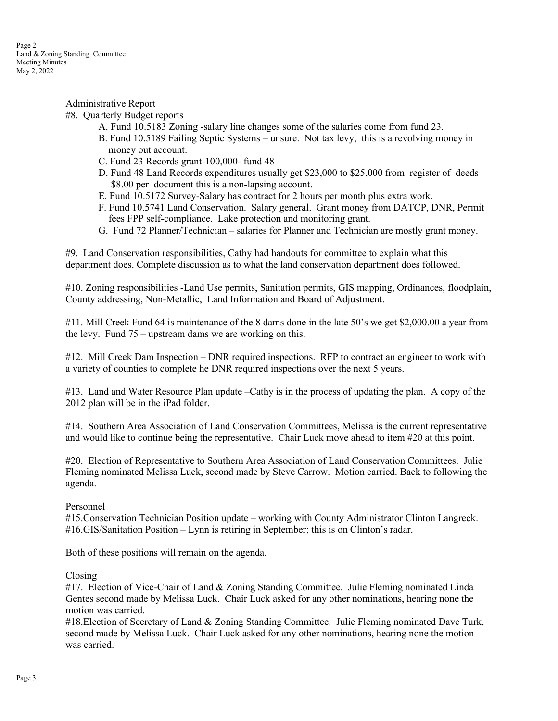Administrative Report

## #8. Quarterly Budget reports

- A. Fund 10.5183 Zoning -salary line changes some of the salaries come from fund 23.
- B. Fund 10.5189 Failing Septic Systems unsure. Not tax levy, this is a revolving money in money out account.
- C. Fund 23 Records grant-100,000- fund 48
- D. Fund 48 Land Records expenditures usually get \$23,000 to \$25,000 from register of deeds \$8.00 per document this is a non-lapsing account.
- E. Fund 10.5172 Survey-Salary has contract for 2 hours per month plus extra work.
- F. Fund 10.5741 Land Conservation. Salary general. Grant money from DATCP, DNR, Permit fees FPP self-compliance. Lake protection and monitoring grant.
- G. Fund 72 Planner/Technician salaries for Planner and Technician are mostly grant money.

#9. Land Conservation responsibilities, Cathy had handouts for committee to explain what this department does. Complete discussion as to what the land conservation department does followed.

#10. Zoning responsibilities -Land Use permits, Sanitation permits, GIS mapping, Ordinances, floodplain, County addressing, Non-Metallic, Land Information and Board of Adjustment.

#11. Mill Creek Fund 64 is maintenance of the 8 dams done in the late 50's we get \$2,000.00 a year from the levy. Fund 75 – upstream dams we are working on this.

#12. Mill Creek Dam Inspection – DNR required inspections. RFP to contract an engineer to work with a variety of counties to complete he DNR required inspections over the next 5 years.

#13. Land and Water Resource Plan update –Cathy is in the process of updating the plan. A copy of the 2012 plan will be in the iPad folder.

#14. Southern Area Association of Land Conservation Committees, Melissa is the current representative and would like to continue being the representative. Chair Luck move ahead to item #20 at this point.

#20. Election of Representative to Southern Area Association of Land Conservation Committees. Julie Fleming nominated Melissa Luck, second made by Steve Carrow. Motion carried. Back to following the agenda.

#### Personnel

#15.Conservation Technician Position update – working with County Administrator Clinton Langreck. #16.GIS/Sanitation Position – Lynn is retiring in September; this is on Clinton's radar.

Both of these positions will remain on the agenda.

#### Closing

#17. Election of Vice-Chair of Land & Zoning Standing Committee. Julie Fleming nominated Linda Gentes second made by Melissa Luck. Chair Luck asked for any other nominations, hearing none the motion was carried.

#18.Election of Secretary of Land & Zoning Standing Committee. Julie Fleming nominated Dave Turk, second made by Melissa Luck. Chair Luck asked for any other nominations, hearing none the motion was carried.